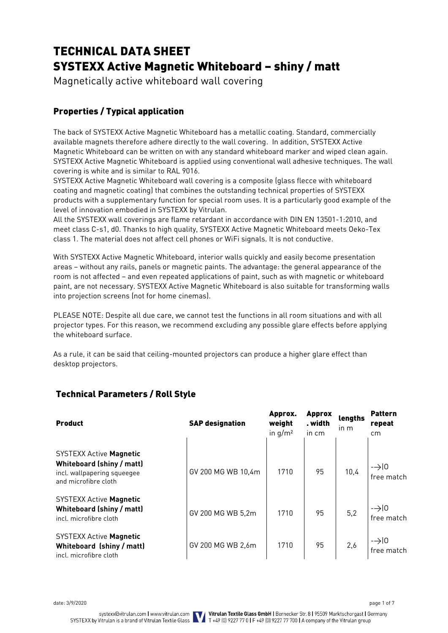# TECHNICAL DATA SHEET SYSTEXX Active Magnetic Whiteboard – shiny / matt

Magnetically active whiteboard wall covering

# Properties / Typical application

The back of SYSTEXX Active Magnetic Whiteboard has a metallic coating. Standard, commercially available magnets therefore adhere directly to the wall covering. In addition, SYSTEXX Active Magnetic Whiteboard can be written on with any standard whiteboard marker and wiped clean again. SYSTEXX Active Magnetic Whiteboard is applied using conventional wall adhesive techniques. The wall covering is white and is similar to RAL 9016.

SYSTEXX Active Magnetic Whiteboard wall covering is a composite (glass flecce with whiteboard coating and magnetic coating) that combines the outstanding technical properties of SYSTEXX products with a supplementary function for special room uses. It is a particularly good example of the level of innovation embodied in SYSTEXX by Vitrulan.

All the SYSTEXX wall coverings are flame retardant in accordance with DIN EN 13501-1:2010, and meet class C-s1, d0. Thanks to high quality, SYSTEXX Active Magnetic Whiteboard meets Oeko-Tex class 1. The material does not affect cell phones or WiFi signals. It is not conductive.

With SYSTEXX Active Magnetic Whiteboard, interior walls quickly and easily become presentation areas – without any rails, panels or magnetic paints. The advantage: the general appearance of the room is not affected – and even repeated applications of paint, such as with magnetic or whiteboard paint, are not necessary. SYSTEXX Active Magnetic Whiteboard is also suitable for transforming walls into projection screens (not for home cinemas).

PLEASE NOTE: Despite all due care, we cannot test the functions in all room situations and with all projector types. For this reason, we recommend excluding any possible glare effects before applying the whiteboard surface.

As a rule, it can be said that ceiling-mounted projectors can produce a higher glare effect than desktop projectors.

| <b>Product</b>                                                                                                     | <b>SAP designation</b> | Approx.<br>weight<br>in $q/m^2$ | <b>Approx</b><br>. width<br>in cm | lengths<br>in m | <b>Pattern</b><br>repeat<br>cm |
|--------------------------------------------------------------------------------------------------------------------|------------------------|---------------------------------|-----------------------------------|-----------------|--------------------------------|
| <b>SYSTEXX Active Magnetic</b><br>Whiteboard (shiny / matt)<br>incl. wallpapering squeegee<br>and microfibre cloth | GV 200 MG WB 10.4m     | 1710                            | 95                                | 10,4            | $\rightarrow$ 10<br>free match |
| <b>SYSTEXX Active Magnetic</b><br>Whiteboard (shiny / matt)<br>incl. microfibre cloth                              | GV 200 MG WB 5,2m      | 1710                            | 95                                | 5,2             | $\rightarrow$ 10<br>free match |
| <b>SYSTEXX Active Magnetic</b><br>Whiteboard (shiny / matt)<br>incl. microfibre cloth                              | GV 200 MG WB 2,6m      | 1710                            | 95                                | 2,6             | $\rightarrow$ 0<br>free match  |

# Technical Parameters / Roll Style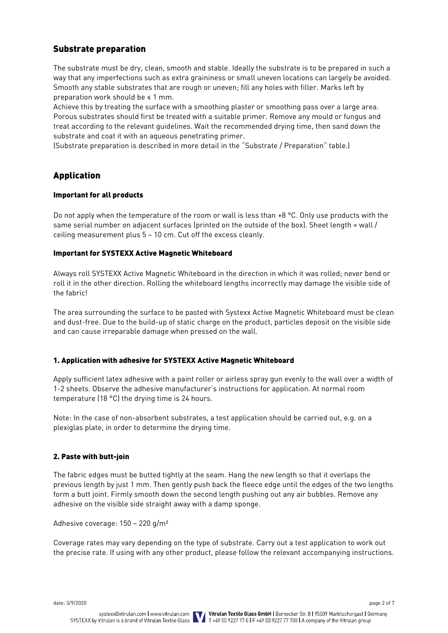# Substrate preparation

The substrate must be dry, clean, smooth and stable. Ideally the substrate is to be prepared in such a way that any imperfections such as extra graininess or small uneven locations can largely be avoided. Smooth any stable substrates that are rough or uneven; fill any holes with filler. Marks left by preparation work should be ≤ 1 mm.

Achieve this by treating the surface with a smoothing plaster or smoothing pass over a large area. Porous substrates should first be treated with a suitable primer. Remove any mould or fungus and treat according to the relevant guidelines. Wait the recommended drying time, then sand down the substrate and coat it with an aqueous penetrating primer.

(Substrate preparation is described in more detail in the "Substrate / Preparation" table.)

# Application

### Important for all products

Do not apply when the temperature of the room or wall is less than +8 °C. Only use products with the same serial number on adjacent surfaces (printed on the outside of the box). Sheet length = wall / ceiling measurement plus 5 – 10 cm. Cut off the excess cleanly.

### Important for SYSTEXX Active Magnetic Whiteboard

Always roll SYSTEXX Active Magnetic Whiteboard in the direction in which it was rolled; never bend or roll it in the other direction. Rolling the whiteboard lengths incorrectly may damage the visible side of the fabric!

The area surrounding the surface to be pasted with Systexx Active Magnetic Whiteboard must be clean and dust-free. Due to the build-up of static charge on the product, particles deposit on the visible side and can cause irreparable damage when pressed on the wall.

# 1. Application with adhesive for SYSTEXX Active Magnetic Whiteboard

Apply sufficient latex adhesive with a paint roller or airless spray gun evenly to the wall over a width of 1-2 sheets. Observe the adhesive manufacturer's instructions for application. At normal room temperature (18 °C) the drying time is 24 hours.

Note: In the case of non-absorbent substrates, a test application should be carried out, e.g. on a plexiglas plate, in order to determine the drying time.

### 2. Paste with butt-join

The fabric edges must be butted tightly at the seam. Hang the new length so that it overlaps the previous length by just 1 mm. Then gently push back the fleece edge until the edges of the two lengths form a butt joint. Firmly smooth down the second length pushing out any air bubbles. Remove any adhesive on the visible side straight away with a damp sponge.

Adhesive coverage: 150 – 220 g/m²

Coverage rates may vary depending on the type of substrate. Carry out a test application to work out the precise rate. If using with any other product, please follow the relevant accompanying instructions.

date: 3/9/2020 page 2 of 7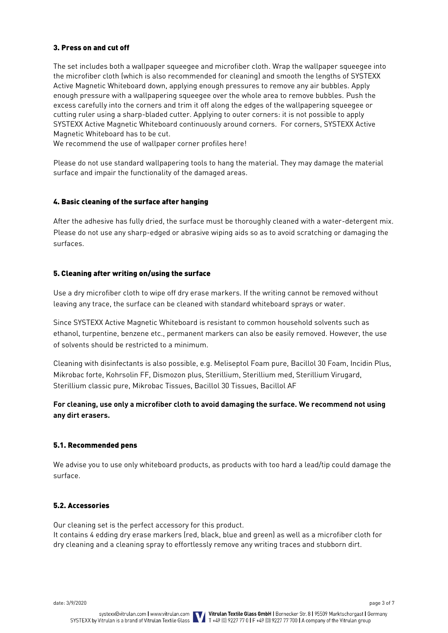# 3. Press on and cut off

The set includes both a wallpaper squeegee and microfiber cloth. Wrap the wallpaper squeegee into the microfiber cloth (which is also recommended for cleaning) and smooth the lengths of SYSTEXX Active Magnetic Whiteboard down, applying enough pressures to remove any air bubbles. Apply enough pressure with a wallpapering squeegee over the whole area to remove bubbles. Push the excess carefully into the corners and trim it off along the edges of the wallpapering squeegee or cutting ruler using a sharp-bladed cutter. Applying to outer corners: it is not possible to apply SYSTEXX Active Magnetic Whiteboard continuously around corners. For corners, SYSTEXX Active Magnetic Whiteboard has to be cut.

We recommend the use of wallpaper corner profiles here!

Please do not use standard wallpapering tools to hang the material. They may damage the material surface and impair the functionality of the damaged areas.

# 4. Basic cleaning of the surface after hanging

After the adhesive has fully dried, the surface must be thoroughly cleaned with a water-detergent mix. Please do not use any sharp-edged or abrasive wiping aids so as to avoid scratching or damaging the surfaces.

### 5. Cleaning after writing on/using the surface

Use a dry microfiber cloth to wipe off dry erase markers. If the writing cannot be removed without leaving any trace, the surface can be cleaned with standard whiteboard sprays or water.

Since SYSTEXX Active Magnetic Whiteboard is resistant to common household solvents such as ethanol, turpentine, benzene etc., permanent markers can also be easily removed. However, the use of solvents should be restricted to a minimum.

Cleaning with disinfectants is also possible, e.g. Meliseptol Foam pure, Bacillol 30 Foam, Incidin Plus, Mikrobac forte, Kohrsolin FF, Dismozon plus, Sterillium, Sterillium med, Sterillium Virugard, Sterillium classic pure, Mikrobac Tissues, Bacillol 30 Tissues, Bacillol AF

# **For cleaning, use only a microfiber cloth to avoid damaging the surface. We recommend not using any dirt erasers.**

### 5.1. Recommended pens

We advise you to use only whiteboard products, as products with too hard a lead/tip could damage the surface.

### 5.2. Accessories

Our cleaning set is the perfect accessory for this product. It contains 4 edding dry erase markers (red, black, blue and green) as well as a microfiber cloth for dry cleaning and a cleaning spray to effortlessly remove any writing traces and stubborn dirt.

date: 3/9/2020 page 3 of 7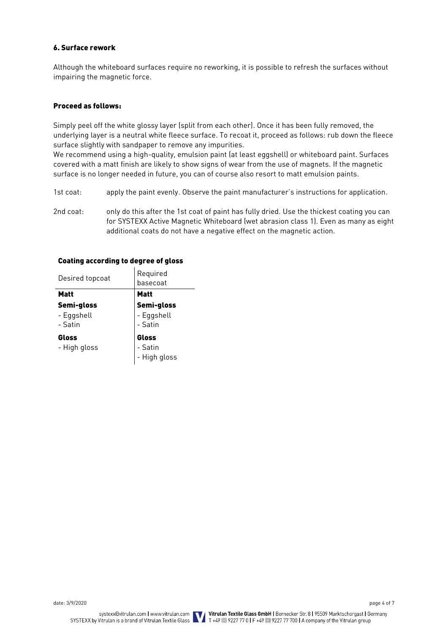## 6. Surface rework

Although the whiteboard surfaces require no reworking, it is possible to refresh the surfaces without impairing the magnetic force.

# Proceed as follows:

Simply peel off the white glossy layer (split from each other). Once it has been fully removed, the underlying layer is a neutral white fleece surface. To recoat it, proceed as follows: rub down the fleece surface slightly with sandpaper to remove any impurities.

We recommend using a high-quality, emulsion paint (at least eggshell) or whiteboard paint. Surfaces covered with a matt finish are likely to show signs of wear from the use of magnets. If the magnetic surface is no longer needed in future, you can of course also resort to matt emulsion paints.

- 1st coat: apply the paint evenly. Observe the paint manufacturer's instructions for application.
- 2nd coat: only do this after the 1st coat of paint has fully dried. Use the thickest coating you can for SYSTEXX Active Magnetic Whiteboard (wet abrasion class 1). Even as many as eight additional coats do not have a negative effect on the magnetic action.

| Desired topcoat                     | Required<br>basecoat                |  |  |
|-------------------------------------|-------------------------------------|--|--|
| Matt                                | <b>Matt</b>                         |  |  |
| Semi-gloss<br>- Eggshell<br>- Satin | Semi-gloss<br>- Eggshell<br>- Satin |  |  |
| Gloss<br>- High gloss               | Gloss<br>- Satin<br>- High gloss    |  |  |

#### Coating according to degree of gloss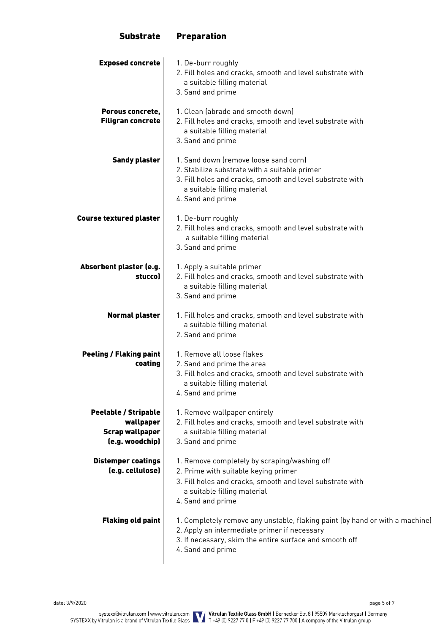# **Exposed concrete** 1. De-burr roughly 2. Fill holes and cracks, smooth and level substrate with a suitable filling material 3. Sand and prime Porous concrete, Filigran concrete 1. Clean (abrade and smooth down) 2. Fill holes and cracks, smooth and level substrate with a suitable filling material 3. Sand and prime **Sandy plaster** | 1. Sand down (remove loose sand corn) 2. Stabilize substrate with a suitable primer 3. Fill holes and cracks, smooth and level substrate with a suitable filling material 4. Sand and prime **Course textured plaster | 1. De-burr roughly** 2. Fill holes and cracks, smooth and level substrate with a suitable filling material 3. Sand and prime Absorbent plaster (e.g. stucco) 1. Apply a suitable primer 2. Fill holes and cracks, smooth and level substrate with a suitable filling material 3. Sand and prime **Normal plaster** | 1. Fill holes and cracks, smooth and level substrate with a suitable filling material 2. Sand and prime Peeling / Flaking paint coating 1. Remove all loose flakes 2. Sand and prime the area 3. Fill holes and cracks, smooth and level substrate with a suitable filling material 4. Sand and prime Peelable / Stripable wallpaper Scrap wallpaper (e.g. woodchip) 1. Remove wallpaper entirely 2. Fill holes and cracks, smooth and level substrate with a suitable filling material 3. Sand and prime Distemper coatings (e.g. cellulose) 1. Remove completely by scraping/washing off 2. Prime with suitable keying primer 3. Fill holes and cracks, smooth and level substrate with a suitable filling material 4. Sand and prime **Flaking old paint** | 1. Completely remove any unstable, flaking paint (by hand or with a machine) 2. Apply an intermediate primer if necessary 3. If necessary, skim the entire surface and smooth off 4. Sand and prime

Substrate Preparation

date: 3/9/2020 page 5 of 7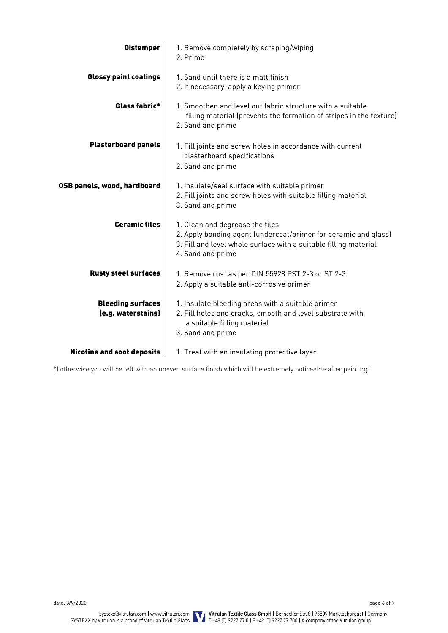| <b>Distemper</b>                               | 1. Remove completely by scraping/wiping<br>2. Prime                                                                                                                                         |
|------------------------------------------------|---------------------------------------------------------------------------------------------------------------------------------------------------------------------------------------------|
| <b>Glossy paint coatings</b>                   | 1. Sand until there is a matt finish<br>2. If necessary, apply a keying primer                                                                                                              |
| Glass fabric*                                  | 1. Smoothen and level out fabric structure with a suitable<br>filling material (prevents the formation of stripes in the texture)<br>2. Sand and prime                                      |
| <b>Plasterboard panels</b>                     | 1. Fill joints and screw holes in accordance with current<br>plasterboard specifications<br>2. Sand and prime                                                                               |
| OSB panels, wood, hardboard                    | 1. Insulate/seal surface with suitable primer<br>2. Fill joints and screw holes with suitable filling material<br>3. Sand and prime                                                         |
| <b>Ceramic tiles</b>                           | 1. Clean and degrease the tiles<br>2. Apply bonding agent (undercoat/primer for ceramic and glass)<br>3. Fill and level whole surface with a suitable filling material<br>4. Sand and prime |
| <b>Rusty steel surfaces</b>                    | 1. Remove rust as per DIN 55928 PST 2-3 or ST 2-3<br>2. Apply a suitable anti-corrosive primer                                                                                              |
| <b>Bleeding surfaces</b><br>(e.g. waterstains) | 1. Insulate bleeding areas with a suitable primer<br>2. Fill holes and cracks, smooth and level substrate with<br>a suitable filling material<br>3. Sand and prime                          |
| <b>Nicotine and soot deposits</b>              | 1. Treat with an insulating protective layer                                                                                                                                                |

\*) otherwise you will be left with an uneven surface finish which will be extremely noticeable after painting!